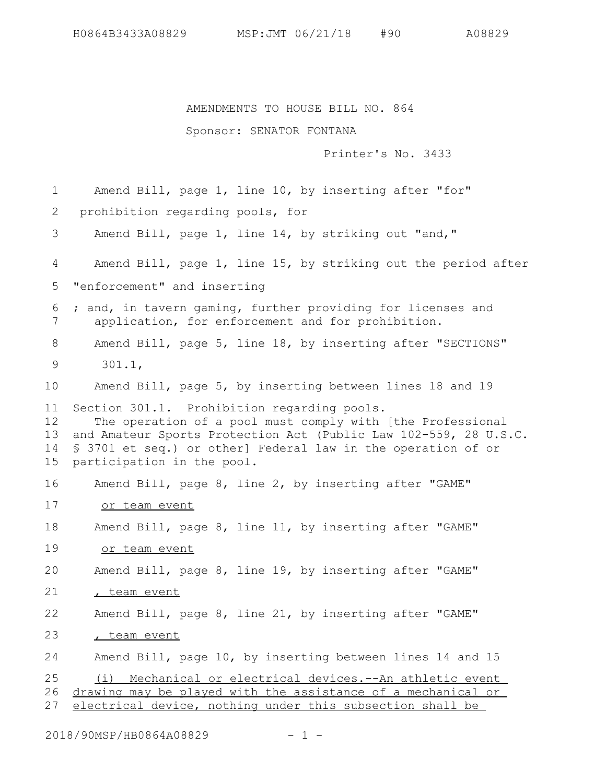## AMENDMENTS TO HOUSE BILL NO. 864

## Sponsor: SENATOR FONTANA

Printer's No. 3433

Amend Bill, page 1, line 10, by inserting after "for" prohibition regarding pools, for Amend Bill, page 1, line 14, by striking out "and," Amend Bill, page 1, line 15, by striking out the period after "enforcement" and inserting ; and, in tavern gaming, further providing for licenses and application, for enforcement and for prohibition. Amend Bill, page 5, line 18, by inserting after "SECTIONS" 301.1, Amend Bill, page 5, by inserting between lines 18 and 19 Section 301.1. Prohibition regarding pools. The operation of a pool must comply with [the Professional and Amateur Sports Protection Act (Public Law 102-559, 28 U.S.C. § 3701 et seq.) or other] Federal law in the operation of or participation in the pool. Amend Bill, page 8, line 2, by inserting after "GAME" or team event Amend Bill, page 8, line 11, by inserting after "GAME" or team event Amend Bill, page 8, line 19, by inserting after "GAME" , team event Amend Bill, page 8, line 21, by inserting after "GAME" , team event Amend Bill, page 10, by inserting between lines 14 and 15 (i) Mechanical or electrical devices.--An athletic event drawing may be played with the assistance of a mechanical or electrical device, nothing under this subsection shall be 1 2 3 4 5 6 7 8 9 10 11 12 13 14 15 16 17 18 19 20 21 22 23 24 25 26 27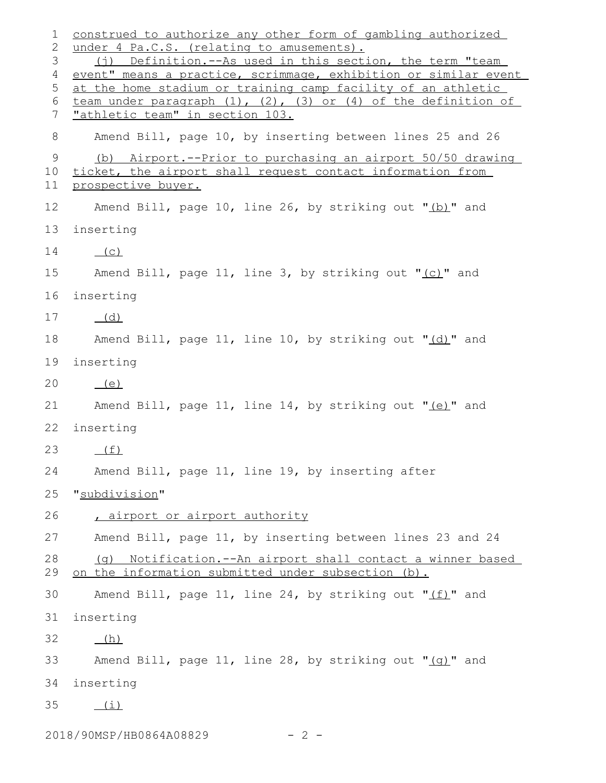construed to authorize any other form of gambling authorized under 4 Pa.C.S. (relating to amusements). (j) Definition.--As used in this section, the term "team event" means a practice, scrimmage, exhibition or similar event at the home stadium or training camp facility of an athletic team under paragraph  $(1)$ ,  $(2)$ ,  $(3)$  or  $(4)$  of the definition of "athletic team" in section 103. Amend Bill, page 10, by inserting between lines 25 and 26 (b) Airport.--Prior to purchasing an airport 50/50 drawing ticket, the airport shall request contact information from prospective buyer. Amend Bill, page 10, line 26, by striking out "(b)" and inserting  $(C)$ Amend Bill, page 11, line 3, by striking out "(c)" and inserting (d) Amend Bill, page 11, line 10, by striking out "(d)" and inserting  $(e)$ Amend Bill, page 11, line 14, by striking out " $(e)$ " and inserting  $(f)$ Amend Bill, page 11, line 19, by inserting after "subdivision" , airport or airport authority Amend Bill, page 11, by inserting between lines 23 and 24 (g) Notification.--An airport shall contact a winner based on the information submitted under subsection (b). Amend Bill, page 11, line 24, by striking out " $(f)$ " and inserting (h) Amend Bill, page 11, line 28, by striking out " $(q)$ " and inserting  $(i)$ 1 2 3 4 5 6 7 8 9 10 11 12 13 14 15 16 17 18 19 20 21 22 23 24 25 26 27 28 29 30 31 32 33 34 35

2018/90MSP/HB0864A08829 - 2-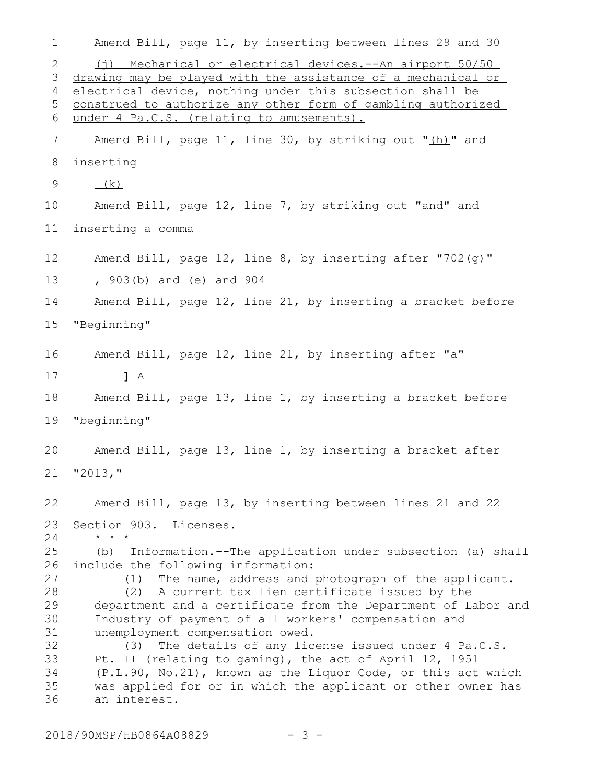| 1                                                              | Amend Bill, page 11, by inserting between lines 29 and 30                                                                                                                                                                                                                                                                                                                                                                                                                                                                                                                                                                          |
|----------------------------------------------------------------|------------------------------------------------------------------------------------------------------------------------------------------------------------------------------------------------------------------------------------------------------------------------------------------------------------------------------------------------------------------------------------------------------------------------------------------------------------------------------------------------------------------------------------------------------------------------------------------------------------------------------------|
| 2<br>3<br>4                                                    | (i) Mechanical or electrical devices.--An airport 50/50<br>drawing may be played with the assistance of a mechanical or<br>electrical device, nothing under this subsection shall be                                                                                                                                                                                                                                                                                                                                                                                                                                               |
| 5                                                              | construed to authorize any other form of gambling authorized                                                                                                                                                                                                                                                                                                                                                                                                                                                                                                                                                                       |
| 6                                                              | under 4 Pa.C.S. (relating to amusements).                                                                                                                                                                                                                                                                                                                                                                                                                                                                                                                                                                                          |
| 7                                                              | Amend Bill, page 11, line 30, by striking out "(h)" and                                                                                                                                                                                                                                                                                                                                                                                                                                                                                                                                                                            |
| 8                                                              | inserting                                                                                                                                                                                                                                                                                                                                                                                                                                                                                                                                                                                                                          |
| 9                                                              | (k)                                                                                                                                                                                                                                                                                                                                                                                                                                                                                                                                                                                                                                |
| 10                                                             | Amend Bill, page 12, line 7, by striking out "and" and                                                                                                                                                                                                                                                                                                                                                                                                                                                                                                                                                                             |
| 11                                                             | inserting a comma                                                                                                                                                                                                                                                                                                                                                                                                                                                                                                                                                                                                                  |
| 12                                                             | Amend Bill, page 12, line 8, by inserting after "702(q)"                                                                                                                                                                                                                                                                                                                                                                                                                                                                                                                                                                           |
| 13                                                             | , 903(b) and (e) and 904                                                                                                                                                                                                                                                                                                                                                                                                                                                                                                                                                                                                           |
| 14                                                             | Amend Bill, page 12, line 21, by inserting a bracket before                                                                                                                                                                                                                                                                                                                                                                                                                                                                                                                                                                        |
| 15                                                             | "Beginning"                                                                                                                                                                                                                                                                                                                                                                                                                                                                                                                                                                                                                        |
| 16                                                             | Amend Bill, page 12, line 21, by inserting after "a"                                                                                                                                                                                                                                                                                                                                                                                                                                                                                                                                                                               |
| 17                                                             | $1 \Delta$                                                                                                                                                                                                                                                                                                                                                                                                                                                                                                                                                                                                                         |
| 18                                                             | Amend Bill, page 13, line 1, by inserting a bracket before                                                                                                                                                                                                                                                                                                                                                                                                                                                                                                                                                                         |
| 19                                                             | "beginning"                                                                                                                                                                                                                                                                                                                                                                                                                                                                                                                                                                                                                        |
| 20                                                             | Amend Bill, page 13, line 1, by inserting a bracket after                                                                                                                                                                                                                                                                                                                                                                                                                                                                                                                                                                          |
| 21                                                             | "2013,"                                                                                                                                                                                                                                                                                                                                                                                                                                                                                                                                                                                                                            |
| 22                                                             | Amend Bill, page 13, by inserting between lines 21 and 22                                                                                                                                                                                                                                                                                                                                                                                                                                                                                                                                                                          |
| 23<br>24                                                       | Section 903. Licenses.<br>$\star$ $\star$ $\star$                                                                                                                                                                                                                                                                                                                                                                                                                                                                                                                                                                                  |
| 25<br>26<br>27<br>28<br>29<br>30<br>31<br>32<br>33<br>34<br>35 | (b) Information.--The application under subsection (a) shall<br>include the following information:<br>The name, address and photograph of the applicant.<br>(1)<br>(2) A current tax lien certificate issued by the<br>department and a certificate from the Department of Labor and<br>Industry of payment of all workers' compensation and<br>unemployment compensation owed.<br>(3) The details of any license issued under 4 Pa.C.S.<br>Pt. II (relating to gaming), the act of April 12, 1951<br>(P.L.90, No.21), known as the Liquor Code, or this act which<br>was applied for or in which the applicant or other owner has |
| 36                                                             | an interest.                                                                                                                                                                                                                                                                                                                                                                                                                                                                                                                                                                                                                       |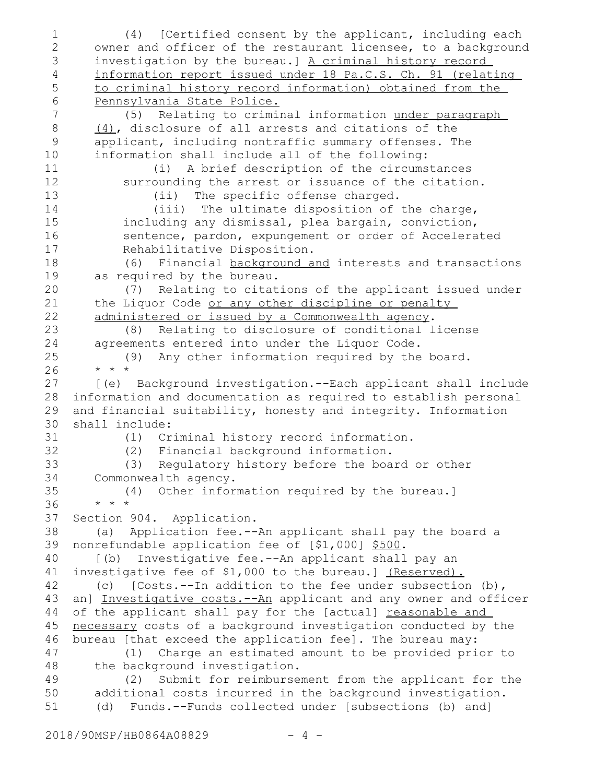(4) [Certified consent by the applicant, including each owner and officer of the restaurant licensee, to a background investigation by the bureau.] A criminal history record information report issued under 18 Pa.C.S. Ch. 91 (relating to criminal history record information) obtained from the Pennsylvania State Police. (5) Relating to criminal information under paragraph (4), disclosure of all arrests and citations of the applicant, including nontraffic summary offenses. The information shall include all of the following: (i) A brief description of the circumstances surrounding the arrest or issuance of the citation. (ii) The specific offense charged. (iii) The ultimate disposition of the charge, including any dismissal, plea bargain, conviction, sentence, pardon, expungement or order of Accelerated Rehabilitative Disposition. (6) Financial background and interests and transactions as required by the bureau. (7) Relating to citations of the applicant issued under the Liquor Code or any other discipline or penalty administered or issued by a Commonwealth agency. (8) Relating to disclosure of conditional license agreements entered into under the Liquor Code. (9) Any other information required by the board. \* \* \* [(e) Background investigation.--Each applicant shall include information and documentation as required to establish personal and financial suitability, honesty and integrity. Information shall include: (1) Criminal history record information. (2) Financial background information. (3) Regulatory history before the board or other Commonwealth agency. (4) Other information required by the bureau.] \* \* \* Section 904. Application. (a) Application fee.--An applicant shall pay the board a nonrefundable application fee of [\$1,000] \$500. [(b) Investigative fee.--An applicant shall pay an investigative fee of \$1,000 to the bureau.] (Reserved). (c) [Costs.--In addition to the fee under subsection (b), an] Investigative costs. --An applicant and any owner and officer of the applicant shall pay for the [actual] reasonable and necessary costs of a background investigation conducted by the bureau [that exceed the application fee]. The bureau may: (1) Charge an estimated amount to be provided prior to the background investigation. (2) Submit for reimbursement from the applicant for the additional costs incurred in the background investigation. (d) Funds.--Funds collected under [subsections (b) and] 1 2 3 4 5 6 7 8 9 10 11 12 13 14 15 16 17 18 19 20 21 22 23 24 25 26 27 28 29 30 31 32 33 34 35 36 37 38 39 40 41 42 43 44 45 46 47 48 49 50 51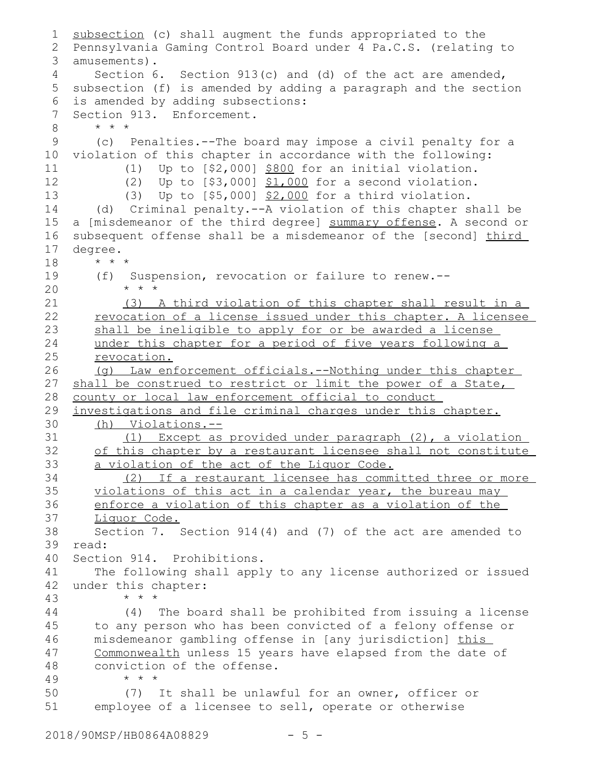```
subsection (c) shall augment the funds appropriated to the
   Pennsylvania Gaming Control Board under 4 Pa.C.S. (relating to
 amusements).
3
       Section 6. Section 913(c) and (d) of the act are amended,
 5 subsection (f) is amended by adding a paragraph and the section
   is amended by adding subsections:
   Section 913. Enforcement.
       * * *
       (c) Penalties.--The board may impose a civil penalty for a
   violation of this chapter in accordance with the following:
           (1) Up to [$2,000] $800 for an initial violation.
           (2) Up to [$3,000] $1,000 for a second violation.
           (3) Up to [$5,000] $2,000 for a third violation.
       (d) Criminal penalty.--A violation of this chapter shall be
   a [misdemeanor of the third degree] summary offense. A second or
   subsequent offense shall be a misdemeanor of the [second] third
   degree.
       * * *
       (f) Suspension, revocation or failure to renew.--
           * * *
          (3) A third violation of this chapter shall result in a
      revocation of a license issued under this chapter. A licensee
       shall be ineligible to apply for or be awarded a license
      under this chapter for a period of five years following a
      revocation.
       (g) Law enforcement officials.--Nothing under this chapter
   shall be construed to restrict or limit the power of a State,
   county or local law enforcement official to conduct
   investigations and file criminal charges under this chapter.
      (h) Violations.--
           (1) Except as provided under paragraph (2), a violation
       of this chapter by a restaurant licensee shall not constitute
       a violation of the act of the Liquor Code.
           (2) If a restaurant licensee has committed three or more
      violations of this act in a calendar year, the bureau may
      enforce a violation of this chapter as a violation of the
       Liquor Code.
       Section 7. Section 914(4) and (7) of the act are amended to
   read:
   Section 914. Prohibitions.
       The following shall apply to any license authorized or issued
   under this chapter:
           * * *
           (4) The board shall be prohibited from issuing a license
       to any person who has been convicted of a felony offense or
      misdemeanor gambling offense in [any jurisdiction] this
      Commonwealth unless 15 years have elapsed from the date of
      conviction of the offense.
           * * *
           (7) It shall be unlawful for an owner, officer or
       employee of a licensee to sell, operate or otherwise
1
2
4
6
7
8
9
10
11
12
13
14
15
16
17
18
19
20
21
22
23
24
25
26
27
28
29
30
31
32
33
34
35
36
37
38
39
40
41
42
43
44
45
46
47
48
49
50
51
```